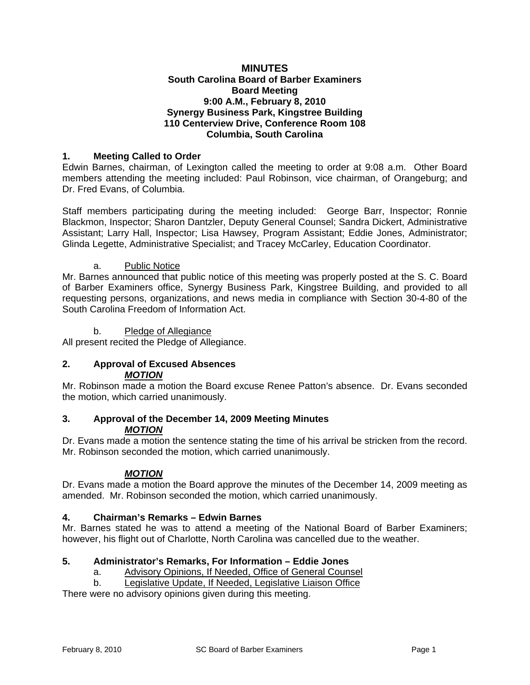### **MINUTES South Carolina Board of Barber Examiners Board Meeting 9:00 A.M., February 8, 2010 Synergy Business Park, Kingstree Building 110 Centerview Drive, Conference Room 108 Columbia, South Carolina**

# **1. Meeting Called to Order**

Edwin Barnes, chairman, of Lexington called the meeting to order at 9:08 a.m. Other Board members attending the meeting included: Paul Robinson, vice chairman, of Orangeburg; and Dr. Fred Evans, of Columbia.

Staff members participating during the meeting included: George Barr, Inspector; Ronnie Blackmon, Inspector; Sharon Dantzler, Deputy General Counsel; Sandra Dickert, Administrative Assistant; Larry Hall, Inspector; Lisa Hawsey, Program Assistant; Eddie Jones, Administrator; Glinda Legette, Administrative Specialist; and Tracey McCarley, Education Coordinator.

### a. Public Notice

Mr. Barnes announced that public notice of this meeting was properly posted at the S. C. Board of Barber Examiners office, Synergy Business Park, Kingstree Building, and provided to all requesting persons, organizations, and news media in compliance with Section 30-4-80 of the South Carolina Freedom of Information Act.

### b. Pledge of Allegiance

All present recited the Pledge of Allegiance.

#### **2. Approval of Excused Absences**  *MOTION*

Mr. Robinson made a motion the Board excuse Renee Patton's absence. Dr. Evans seconded the motion, which carried unanimously.

### **3. Approval of the December 14, 2009 Meeting Minutes**  *MOTION*

Dr. Evans made a motion the sentence stating the time of his arrival be stricken from the record. Mr. Robinson seconded the motion, which carried unanimously.

# *MOTION*

Dr. Evans made a motion the Board approve the minutes of the December 14, 2009 meeting as amended. Mr. Robinson seconded the motion, which carried unanimously.

### **4. Chairman's Remarks – Edwin Barnes**

Mr. Barnes stated he was to attend a meeting of the National Board of Barber Examiners; however, his flight out of Charlotte, North Carolina was cancelled due to the weather.

### **5. Administrator's Remarks, For Information – Eddie Jones**

- a. Advisory Opinions, If Needed, Office of General Counsel
- b. Legislative Update, If Needed, Legislative Liaison Office

There were no advisory opinions given during this meeting.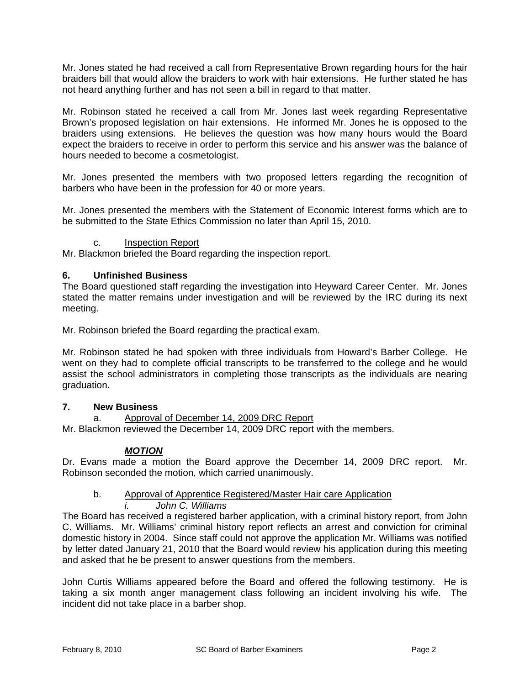Mr. Jones stated he had received a call from Representative Brown regarding hours for the hair braiders bill that would allow the braiders to work with hair extensions. He further stated he has not heard anything further and has not seen a bill in regard to that matter.

Mr. Robinson stated he received a call from Mr. Jones last week regarding Representative Brown's proposed legislation on hair extensions. He informed Mr. Jones he is opposed to the braiders using extensions. He believes the question was how many hours would the Board expect the braiders to receive in order to perform this service and his answer was the balance of hours needed to become a cosmetologist.

Mr. Jones presented the members with two proposed letters regarding the recognition of barbers who have been in the profession for 40 or more years.

Mr. Jones presented the members with the Statement of Economic Interest forms which are to be submitted to the State Ethics Commission no later than April 15, 2010.

# c. Inspection Report

Mr. Blackmon briefed the Board regarding the inspection report.

# **6. Unfinished Business**

The Board questioned staff regarding the investigation into Heyward Career Center. Mr. Jones stated the matter remains under investigation and will be reviewed by the IRC during its next meeting.

Mr. Robinson briefed the Board regarding the practical exam.

Mr. Robinson stated he had spoken with three individuals from Howard's Barber College. He went on they had to complete official transcripts to be transferred to the college and he would assist the school administrators in completing those transcripts as the individuals are nearing graduation.

### **7. New Business**

a. Approval of December 14, 2009 DRC Report

Mr. Blackmon reviewed the December 14, 2009 DRC report with the members.

### *MOTION*

Dr. Evans made a motion the Board approve the December 14, 2009 DRC report. Mr. Robinson seconded the motion, which carried unanimously.

### b. Approval of Apprentice Registered/Master Hair care Application

# *i. John C. Williams*

The Board has received a registered barber application, with a criminal history report, from John C. Williams. Mr. Williams' criminal history report reflects an arrest and conviction for criminal domestic history in 2004. Since staff could not approve the application Mr. Williams was notified by letter dated January 21, 2010 that the Board would review his application during this meeting and asked that he be present to answer questions from the members.

John Curtis Williams appeared before the Board and offered the following testimony. He is taking a six month anger management class following an incident involving his wife. The incident did not take place in a barber shop.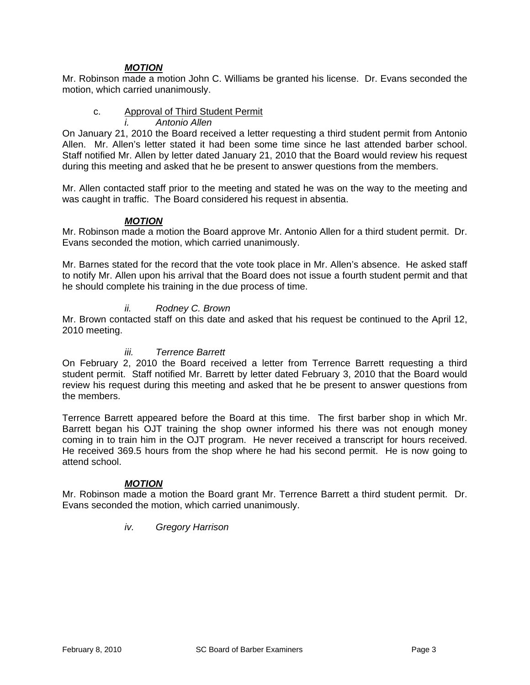# *MOTION*

Mr. Robinson made a motion John C. Williams be granted his license. Dr. Evans seconded the motion, which carried unanimously.

# c. Approval of Third Student Permit

*i. Antonio Allen*

On January 21, 2010 the Board received a letter requesting a third student permit from Antonio Allen. Mr. Allen's letter stated it had been some time since he last attended barber school. Staff notified Mr. Allen by letter dated January 21, 2010 that the Board would review his request during this meeting and asked that he be present to answer questions from the members.

Mr. Allen contacted staff prior to the meeting and stated he was on the way to the meeting and was caught in traffic. The Board considered his request in absentia.

### *MOTION*

Mr. Robinson made a motion the Board approve Mr. Antonio Allen for a third student permit. Dr. Evans seconded the motion, which carried unanimously.

Mr. Barnes stated for the record that the vote took place in Mr. Allen's absence. He asked staff to notify Mr. Allen upon his arrival that the Board does not issue a fourth student permit and that he should complete his training in the due process of time.

### *ii. Rodney C. Brown*

Mr. Brown contacted staff on this date and asked that his request be continued to the April 12, 2010 meeting.

### *iii. Terrence Barrett*

On February 2, 2010 the Board received a letter from Terrence Barrett requesting a third student permit. Staff notified Mr. Barrett by letter dated February 3, 2010 that the Board would review his request during this meeting and asked that he be present to answer questions from the members.

Terrence Barrett appeared before the Board at this time. The first barber shop in which Mr. Barrett began his OJT training the shop owner informed his there was not enough money coming in to train him in the OJT program. He never received a transcript for hours received. He received 369.5 hours from the shop where he had his second permit. He is now going to attend school.

### *MOTION*

Mr. Robinson made a motion the Board grant Mr. Terrence Barrett a third student permit. Dr. Evans seconded the motion, which carried unanimously.

### *iv. Gregory Harrison*